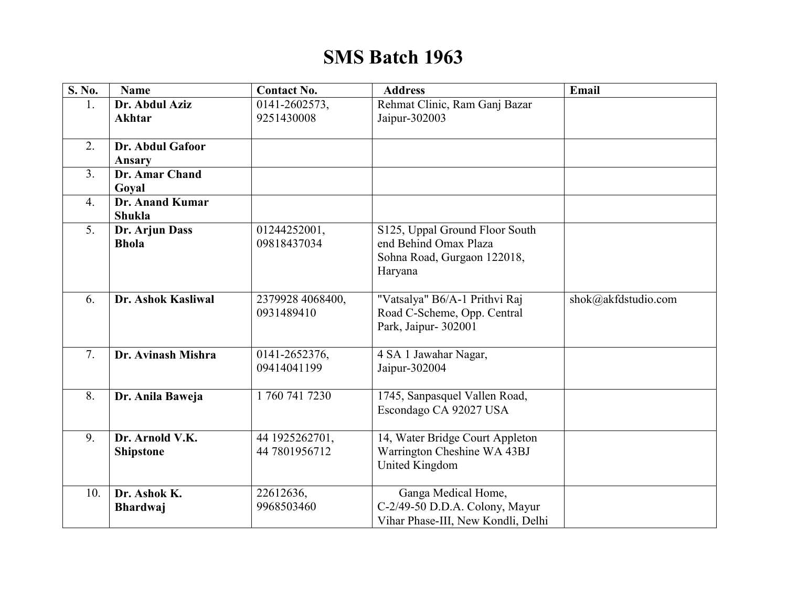## **SMS Batch 1963**

| S. No.         | <b>Name</b>            | <b>Contact No.</b>             | <b>Address</b>                                               | Email               |
|----------------|------------------------|--------------------------------|--------------------------------------------------------------|---------------------|
| 1.             | Dr. Abdul Aziz         | 0141-2602573,                  | Rehmat Clinic, Ram Ganj Bazar                                |                     |
|                | <b>Akhtar</b>          | 9251430008                     | Jaipur-302003                                                |                     |
|                |                        |                                |                                                              |                     |
| 2.             | Dr. Abdul Gafoor       |                                |                                                              |                     |
|                | Ansary                 |                                |                                                              |                     |
| 3 <sub>1</sub> | Dr. Amar Chand         |                                |                                                              |                     |
|                | Goyal                  |                                |                                                              |                     |
| 4.             | <b>Dr. Anand Kumar</b> |                                |                                                              |                     |
|                | Shukla                 |                                |                                                              |                     |
| 5 <sub>1</sub> | Dr. Arjun Dass         | 01244252001,                   | S125, Uppal Ground Floor South                               |                     |
|                | <b>Bhola</b>           | 09818437034                    | end Behind Omax Plaza                                        |                     |
|                |                        |                                | Sohna Road, Gurgaon 122018,                                  |                     |
|                |                        |                                | Haryana                                                      |                     |
|                |                        |                                |                                                              |                     |
| 6.             | Dr. Ashok Kasliwal     | 2379928 4068400,<br>0931489410 | "Vatsalya" B6/A-1 Prithvi Raj<br>Road C-Scheme, Opp. Central | shok@akfdstudio.com |
|                |                        |                                | Park, Jaipur- 302001                                         |                     |
|                |                        |                                |                                                              |                     |
| 7.             | Dr. Avinash Mishra     | 0141-2652376,                  | 4 SA 1 Jawahar Nagar,                                        |                     |
|                |                        | 09414041199                    | Jaipur-302004                                                |                     |
|                |                        |                                |                                                              |                     |
| 8.             | Dr. Anila Baweja       | 17607417230                    | 1745, Sanpasquel Vallen Road,                                |                     |
|                |                        |                                | Escondago CA 92027 USA                                       |                     |
|                |                        |                                |                                                              |                     |
| 9.             | Dr. Arnold V.K.        | 44 1925262701,                 | 14, Water Bridge Court Appleton                              |                     |
|                | <b>Shipstone</b>       | 44 7801956712                  | Warrington Cheshine WA 43BJ                                  |                     |
|                |                        |                                | United Kingdom                                               |                     |
|                |                        |                                |                                                              |                     |
| 10.            | Dr. Ashok K.           | 22612636,                      | Ganga Medical Home,                                          |                     |
|                | <b>Bhardwaj</b>        | 9968503460                     | C-2/49-50 D.D.A. Colony, Mayur                               |                     |
|                |                        |                                | Vihar Phase-III, New Kondli, Delhi                           |                     |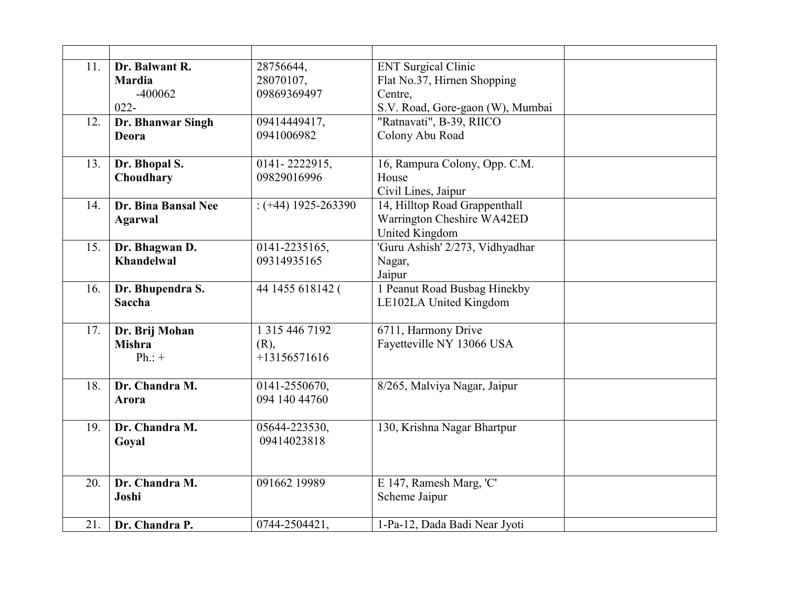| 11. | Dr. Balwant R.<br><b>Mardia</b> | 28756644,<br>28070107, | <b>ENT</b> Surgical Clinic<br>Flat No.37, Hirnen Shopping |  |
|-----|---------------------------------|------------------------|-----------------------------------------------------------|--|
|     | $-400062$                       | 09869369497            | Centre,                                                   |  |
|     | $022 -$                         |                        | S.V. Road, Gore-gaon (W), Mumbai                          |  |
| 12. | Dr. Bhanwar Singh               | 09414449417,           | "Ratnavati", B-39, RIICO                                  |  |
|     | Deora                           | 0941006982             | Colony Abu Road                                           |  |
| 13. | Dr. Bhopal S.                   | 0141-2222915,          | 16, Rampura Colony, Opp. C.M.                             |  |
|     | Choudhary                       | 09829016996            | House                                                     |  |
|     |                                 |                        | Civil Lines, Jaipur                                       |  |
| 14. | Dr. Bina Bansal Nee             | $:(+44)$ 1925-263390   | 14, Hilltop Road Grappenthall                             |  |
|     | <b>Agarwal</b>                  |                        | Warrington Cheshire WA42ED                                |  |
|     |                                 |                        | United Kingdom                                            |  |
| 15. | Dr. Bhagwan D.                  | 0141-2235165,          | 'Guru Ashish' 2/273, Vidhyadhar                           |  |
|     | <b>Khandelwal</b>               | 09314935165            | Nagar,                                                    |  |
|     |                                 |                        | Jaipur                                                    |  |
| 16. | Dr. Bhupendra S.                | 44 1455 618142 (       | 1 Peanut Road Busbag Hinekby                              |  |
|     | Saccha                          |                        | LE102LA United Kingdom                                    |  |
|     |                                 |                        |                                                           |  |
| 17. | Dr. Brij Mohan                  | 1 315 446 7192         | 6711, Harmony Drive                                       |  |
|     | <b>Mishra</b>                   | $(R)$ ,                | Fayetteville NY 13066 USA                                 |  |
|     | $Ph.:+$                         | $+13156571616$         |                                                           |  |
|     |                                 |                        |                                                           |  |
| 18. | Dr. Chandra M.                  | 0141-2550670,          | 8/265, Malviya Nagar, Jaipur                              |  |
|     | Arora                           | 094 140 44760          |                                                           |  |
|     |                                 |                        |                                                           |  |
| 19. | Dr. Chandra M.                  | 05644-223530,          | 130, Krishna Nagar Bhartpur                               |  |
|     | Goyal                           | 09414023818            |                                                           |  |
|     |                                 |                        |                                                           |  |
| 20. | Dr. Chandra M.                  | 091662 19989           | E 147, Ramesh Marg, 'C'                                   |  |
|     | Joshi                           |                        | Scheme Jaipur                                             |  |
|     |                                 |                        |                                                           |  |
| 21. | Dr. Chandra P.                  | 0744-2504421,          | 1-Pa-12, Dada Badi Near Jyoti                             |  |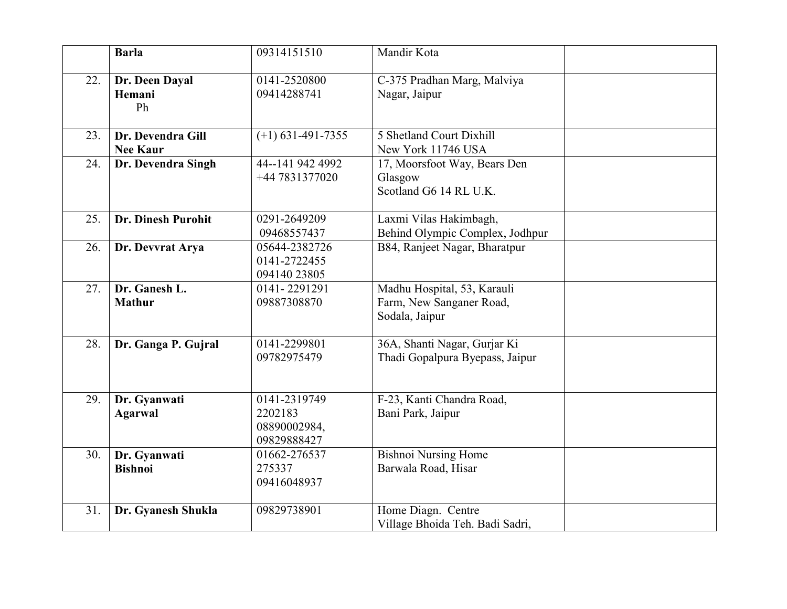|     | <b>Barla</b>                         | 09314151510                                            | Mandir Kota                                                               |  |
|-----|--------------------------------------|--------------------------------------------------------|---------------------------------------------------------------------------|--|
| 22. | Dr. Deen Dayal<br>Hemani<br>Ph       | 0141-2520800<br>09414288741                            | C-375 Pradhan Marg, Malviya<br>Nagar, Jaipur                              |  |
| 23. | Dr. Devendra Gill<br><b>Nee Kaur</b> | $(+) 631 - 491 - 7355$                                 | 5 Shetland Court Dixhill<br>New York 11746 USA                            |  |
| 24. | Dr. Devendra Singh                   | 44--141 942 4992<br>+44 7831377020                     | 17, Moorsfoot Way, Bears Den<br>Glasgow<br>Scotland G6 14 RL U.K.         |  |
| 25. | Dr. Dinesh Purohit                   | 0291-2649209<br>09468557437                            | Laxmi Vilas Hakimbagh,<br>Behind Olympic Complex, Jodhpur                 |  |
| 26. | Dr. Devvrat Arya                     | 05644-2382726<br>0141-2722455<br>094140 23805          | B84, Ranjeet Nagar, Bharatpur                                             |  |
| 27. | Dr. Ganesh L.<br><b>Mathur</b>       | 0141-2291291<br>09887308870                            | Madhu Hospital, 53, Karauli<br>Farm, New Sanganer Road,<br>Sodala, Jaipur |  |
| 28. | Dr. Ganga P. Gujral                  | 0141-2299801<br>09782975479                            | 36A, Shanti Nagar, Gurjar Ki<br>Thadi Gopalpura Byepass, Jaipur           |  |
| 29. | Dr. Gyanwati<br><b>Agarwal</b>       | 0141-2319749<br>2202183<br>08890002984,<br>09829888427 | F-23, Kanti Chandra Road,<br>Bani Park, Jaipur                            |  |
| 30. | Dr. Gyanwati<br><b>Bishnoi</b>       | 01662-276537<br>275337<br>09416048937                  | <b>Bishnoi Nursing Home</b><br>Barwala Road, Hisar                        |  |
| 31. | Dr. Gyanesh Shukla                   | 09829738901                                            | Home Diagn. Centre<br>Village Bhoida Teh. Badi Sadri,                     |  |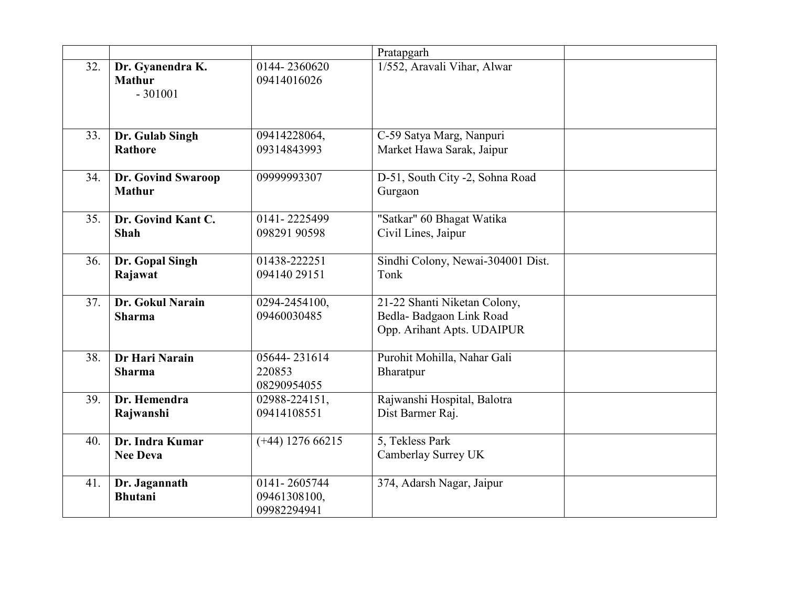|     |                                                |                                             | Pratapgarh                                                                            |  |
|-----|------------------------------------------------|---------------------------------------------|---------------------------------------------------------------------------------------|--|
| 32. | Dr. Gyanendra K.<br><b>Mathur</b><br>$-301001$ | 0144-2360620<br>09414016026                 | 1/552, Aravali Vihar, Alwar                                                           |  |
| 33. | Dr. Gulab Singh<br><b>Rathore</b>              | 09414228064,<br>09314843993                 | C-59 Satya Marg, Nanpuri<br>Market Hawa Sarak, Jaipur                                 |  |
| 34. | Dr. Govind Swaroop<br><b>Mathur</b>            | 09999993307                                 | D-51, South City -2, Sohna Road<br>Gurgaon                                            |  |
| 35. | Dr. Govind Kant C.<br><b>Shah</b>              | 0141-2225499<br>098291 90598                | "Satkar" 60 Bhagat Watika<br>Civil Lines, Jaipur                                      |  |
| 36. | Dr. Gopal Singh<br>Rajawat                     | 01438-222251<br>094140 29151                | Sindhi Colony, Newai-304001 Dist.<br>Tonk                                             |  |
| 37. | Dr. Gokul Narain<br><b>Sharma</b>              | 0294-2454100,<br>09460030485                | 21-22 Shanti Niketan Colony,<br>Bedla-Badgaon Link Road<br>Opp. Arihant Apts. UDAIPUR |  |
| 38. | Dr Hari Narain<br><b>Sharma</b>                | 05644-231614<br>220853<br>08290954055       | Purohit Mohilla, Nahar Gali<br>Bharatpur                                              |  |
| 39. | Dr. Hemendra<br>Rajwanshi                      | 02988-224151,<br>09414108551                | Rajwanshi Hospital, Balotra<br>Dist Barmer Raj.                                       |  |
| 40. | Dr. Indra Kumar<br><b>Nee Deva</b>             | $(+44)$ 1276 66215                          | 5, Tekless Park<br>Camberlay Surrey UK                                                |  |
| 41. | Dr. Jagannath<br><b>Bhutani</b>                | 0141-2605744<br>09461308100,<br>09982294941 | 374, Adarsh Nagar, Jaipur                                                             |  |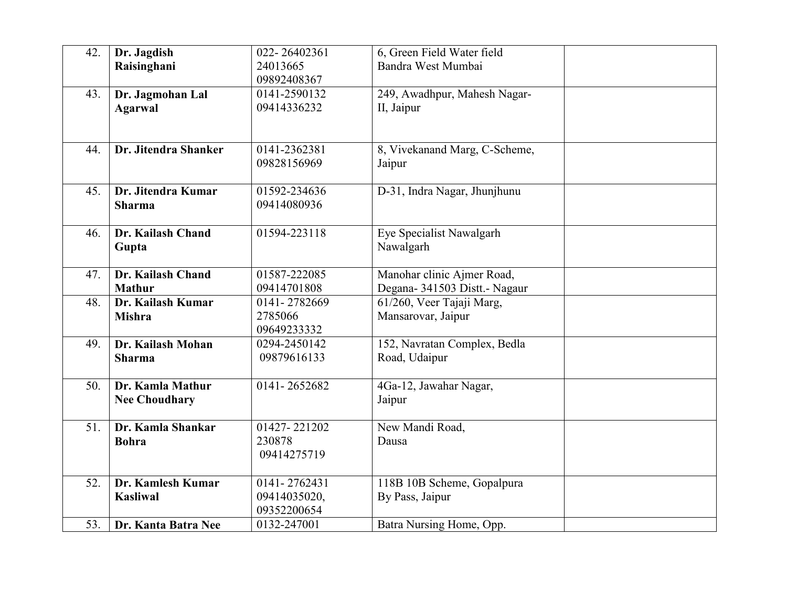| 42. | Dr. Jagdish<br>Raisinghani               | 022-26402361<br>24013665<br>09892408367     | 6, Green Field Water field<br>Bandra West Mumbai            |  |
|-----|------------------------------------------|---------------------------------------------|-------------------------------------------------------------|--|
| 43. | Dr. Jagmohan Lal<br><b>Agarwal</b>       | 0141-2590132<br>09414336232                 | 249, Awadhpur, Mahesh Nagar-<br>II, Jaipur                  |  |
| 44. | Dr. Jitendra Shanker                     | 0141-2362381<br>09828156969                 | 8, Vivekanand Marg, C-Scheme,<br>Jaipur                     |  |
| 45. | Dr. Jitendra Kumar<br><b>Sharma</b>      | 01592-234636<br>09414080936                 | D-31, Indra Nagar, Jhunjhunu                                |  |
| 46. | Dr. Kailash Chand<br>Gupta               | 01594-223118                                | Eye Specialist Nawalgarh<br>Nawalgarh                       |  |
| 47. | Dr. Kailash Chand<br><b>Mathur</b>       | 01587-222085<br>09414701808                 | Manohar clinic Ajmer Road,<br>Degana- 341503 Distt.- Nagaur |  |
| 48. | Dr. Kailash Kumar<br><b>Mishra</b>       | 0141-2782669<br>2785066<br>09649233332      | 61/260, Veer Tajaji Marg,<br>Mansarovar, Jaipur             |  |
| 49. | Dr. Kailash Mohan<br><b>Sharma</b>       | 0294-2450142<br>09879616133                 | 152, Navratan Complex, Bedla<br>Road, Udaipur               |  |
| 50. | Dr. Kamla Mathur<br><b>Nee Choudhary</b> | 0141-2652682                                | 4Ga-12, Jawahar Nagar,<br>Jaipur                            |  |
| 51. | Dr. Kamla Shankar<br><b>Bohra</b>        | 01427-221202<br>230878<br>09414275719       | New Mandi Road,<br>Dausa                                    |  |
| 52. | Dr. Kamlesh Kumar<br><b>Kasliwal</b>     | 0141-2762431<br>09414035020,<br>09352200654 | 118B 10B Scheme, Gopalpura<br>By Pass, Jaipur               |  |
| 53. | Dr. Kanta Batra Nee                      | 0132-247001                                 | Batra Nursing Home, Opp.                                    |  |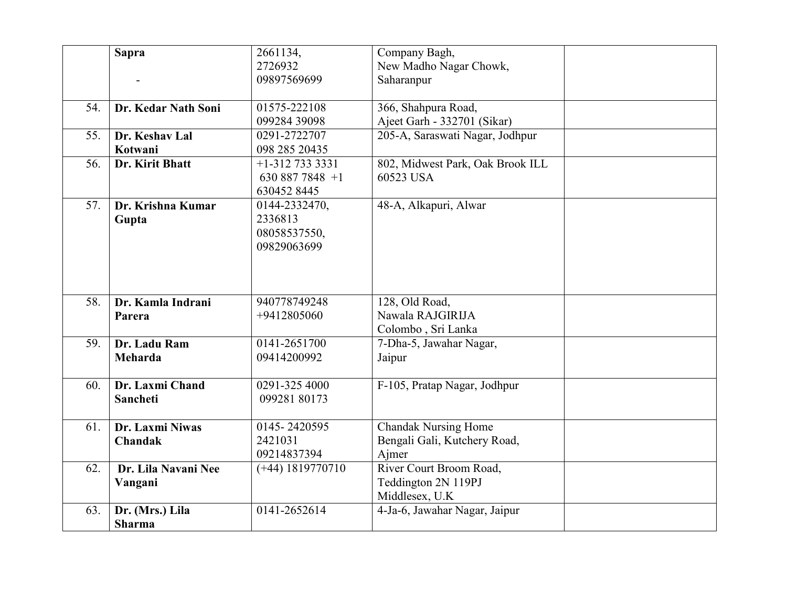|     | <b>Sapra</b>                      | 2661134,<br>2726932<br>09897569699                      | Company Bagh,<br>New Madho Nagar Chowk,<br>Saharanpur                |  |
|-----|-----------------------------------|---------------------------------------------------------|----------------------------------------------------------------------|--|
| 54. | Dr. Kedar Nath Soni               | 01575-222108<br>099284 39098                            | 366, Shahpura Road,<br>Ajeet Garh - 332701 (Sikar)                   |  |
| 55. | Dr. Keshav Lal<br>Kotwani         | 0291-2722707<br>098 285 20435                           | 205-A, Saraswati Nagar, Jodhpur                                      |  |
| 56. | Dr. Kirit Bhatt                   | $+1 - 3127333331$<br>630 887 7848 $+1$<br>6304528445    | 802, Midwest Park, Oak Brook ILL<br>60523 USA                        |  |
| 57. | Dr. Krishna Kumar<br>Gupta        | 0144-2332470,<br>2336813<br>08058537550,<br>09829063699 | 48-A, Alkapuri, Alwar                                                |  |
| 58. | Dr. Kamla Indrani<br>Parera       | 940778749248<br>+9412805060                             | 128, Old Road,<br>Nawala RAJGIRIJA<br>Colombo, Sri Lanka             |  |
| 59. | Dr. Ladu Ram<br>Meharda           | 0141-2651700<br>09414200992                             | 7-Dha-5, Jawahar Nagar,<br>Jaipur                                    |  |
| 60. | Dr. Laxmi Chand<br>Sancheti       | 0291-325 4000<br>099281 80173                           | F-105, Pratap Nagar, Jodhpur                                         |  |
| 61. | Dr. Laxmi Niwas<br><b>Chandak</b> | 0145-2420595<br>2421031<br>09214837394                  | <b>Chandak Nursing Home</b><br>Bengali Gali, Kutchery Road,<br>Ajmer |  |
| 62. | Dr. Lila Navani Nee<br>Vangani    | $(+44)$ 1819770710                                      | River Court Broom Road,<br>Teddington 2N 119PJ<br>Middlesex, U.K.    |  |
| 63. | Dr. (Mrs.) Lila<br><b>Sharma</b>  | 0141-2652614                                            | 4-Ja-6, Jawahar Nagar, Jaipur                                        |  |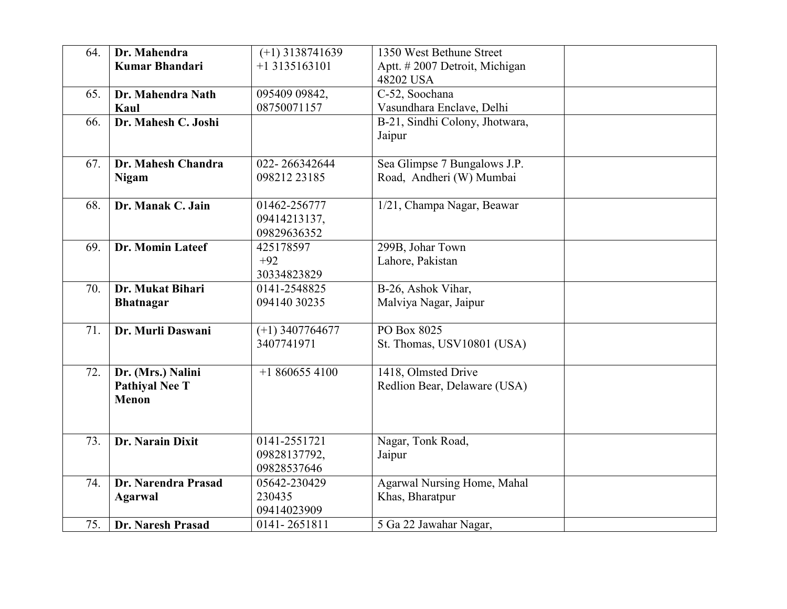| 64. | Dr. Mahendra<br><b>Kumar Bhandari</b> | $(+1)$ 3138741639<br>$+13135163101$ | 1350 West Bethune Street<br>Aptt. #2007 Detroit, Michigan |  |
|-----|---------------------------------------|-------------------------------------|-----------------------------------------------------------|--|
|     |                                       |                                     | 48202 USA                                                 |  |
| 65. | Dr. Mahendra Nath                     | 095409 09842,                       | C-52, Soochana                                            |  |
|     | Kaul                                  | 08750071157                         | Vasundhara Enclave, Delhi                                 |  |
| 66. | Dr. Mahesh C. Joshi                   |                                     | B-21, Sindhi Colony, Jhotwara,                            |  |
|     |                                       |                                     | Jaipur                                                    |  |
| 67. | Dr. Mahesh Chandra                    | 022-266342644                       | Sea Glimpse 7 Bungalows J.P.                              |  |
|     | <b>Nigam</b>                          | 098212 23185                        | Road, Andheri (W) Mumbai                                  |  |
| 68. | Dr. Manak C. Jain                     | 01462-256777                        | 1/21, Champa Nagar, Beawar                                |  |
|     |                                       | 09414213137,<br>09829636352         |                                                           |  |
| 69. | Dr. Momin Lateef                      | 425178597                           | 299B, Johar Town                                          |  |
|     |                                       | $+92$                               | Lahore, Pakistan                                          |  |
|     |                                       | 30334823829                         |                                                           |  |
| 70. | Dr. Mukat Bihari                      | 0141-2548825                        | B-26, Ashok Vihar,                                        |  |
|     | <b>Bhatnagar</b>                      | 094140 30235                        | Malviya Nagar, Jaipur                                     |  |
| 71. | Dr. Murli Daswani                     | $(+1)$ 3407764677                   | PO Box 8025                                               |  |
|     |                                       | 3407741971                          | St. Thomas, USV10801 (USA)                                |  |
| 72. | Dr. (Mrs.) Nalini                     | $+18606554100$                      | 1418, Olmsted Drive                                       |  |
|     | <b>Pathiyal Nee T</b>                 |                                     | Redlion Bear, Delaware (USA)                              |  |
|     | <b>Menon</b>                          |                                     |                                                           |  |
|     |                                       |                                     |                                                           |  |
| 73. | Dr. Narain Dixit                      | 0141-2551721                        | Nagar, Tonk Road,                                         |  |
|     |                                       | 09828137792,                        | Jaipur                                                    |  |
|     |                                       | 09828537646                         |                                                           |  |
| 74. | Dr. Narendra Prasad                   | 05642-230429                        | Agarwal Nursing Home, Mahal                               |  |
|     | <b>Agarwal</b>                        | 230435                              | Khas, Bharatpur                                           |  |
|     |                                       | 09414023909                         |                                                           |  |
| 75. | Dr. Naresh Prasad                     | 0141-2651811                        | 5 Ga 22 Jawahar Nagar,                                    |  |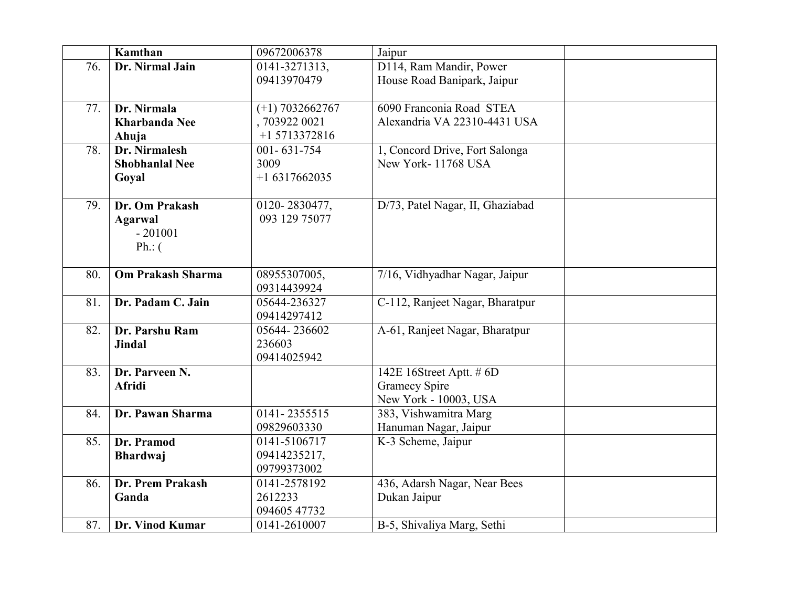|     | Kamthan                  | 09672006378       | Jaipur                           |  |
|-----|--------------------------|-------------------|----------------------------------|--|
| 76. | Dr. Nirmal Jain          | 0141-3271313,     | D114, Ram Mandir, Power          |  |
|     |                          | 09413970479       | House Road Banipark, Jaipur      |  |
|     |                          |                   |                                  |  |
| 77. | Dr. Nirmala              | $(+1)$ 7032662767 | 6090 Franconia Road STEA         |  |
|     | <b>Kharbanda Nee</b>     | ,703922 0021      | Alexandria VA 22310-4431 USA     |  |
|     | Ahuja                    | +1 5713372816     |                                  |  |
| 78. | Dr. Nirmalesh            | $001 - 631 - 754$ | 1, Concord Drive, Fort Salonga   |  |
|     | <b>Shobhanlal Nee</b>    | 3009              | New York-11768 USA               |  |
|     | Goyal                    | $+16317662035$    |                                  |  |
|     |                          |                   |                                  |  |
| 79. | Dr. Om Prakash           | 0120-2830477,     | D/73, Patel Nagar, II, Ghaziabad |  |
|     | <b>Agarwal</b>           | 093 129 75077     |                                  |  |
|     | $-201001$                |                   |                                  |  |
|     | $Ph.:$ (                 |                   |                                  |  |
| 80. | <b>Om Prakash Sharma</b> | 08955307005,      | 7/16, Vidhyadhar Nagar, Jaipur   |  |
|     |                          | 09314439924       |                                  |  |
| 81. | Dr. Padam C. Jain        | 05644-236327      | C-112, Ranjeet Nagar, Bharatpur  |  |
|     |                          | 09414297412       |                                  |  |
| 82. | Dr. Parshu Ram           | 05644-236602      | A-61, Ranjeet Nagar, Bharatpur   |  |
|     | <b>Jindal</b>            | 236603            |                                  |  |
|     |                          | 09414025942       |                                  |  |
| 83. | Dr. Parveen N.           |                   | 142E 16Street Aptt. # 6D         |  |
|     | <b>Afridi</b>            |                   | <b>Gramecy Spire</b>             |  |
|     |                          |                   | New York - 10003, USA            |  |
| 84. | Dr. Pawan Sharma         | 0141-2355515      | 383, Vishwamitra Marg            |  |
|     |                          | 09829603330       | Hanuman Nagar, Jaipur            |  |
| 85. | Dr. Pramod               | 0141-5106717      | K-3 Scheme, Jaipur               |  |
|     | <b>Bhardwaj</b>          | 09414235217,      |                                  |  |
|     |                          | 09799373002       |                                  |  |
| 86. | Dr. Prem Prakash         | 0141-2578192      | 436, Adarsh Nagar, Near Bees     |  |
|     | Ganda                    | 2612233           | Dukan Jaipur                     |  |
|     |                          | 094605 47732      |                                  |  |
| 87. | Dr. Vinod Kumar          | 0141-2610007      | B-5, Shivaliya Marg, Sethi       |  |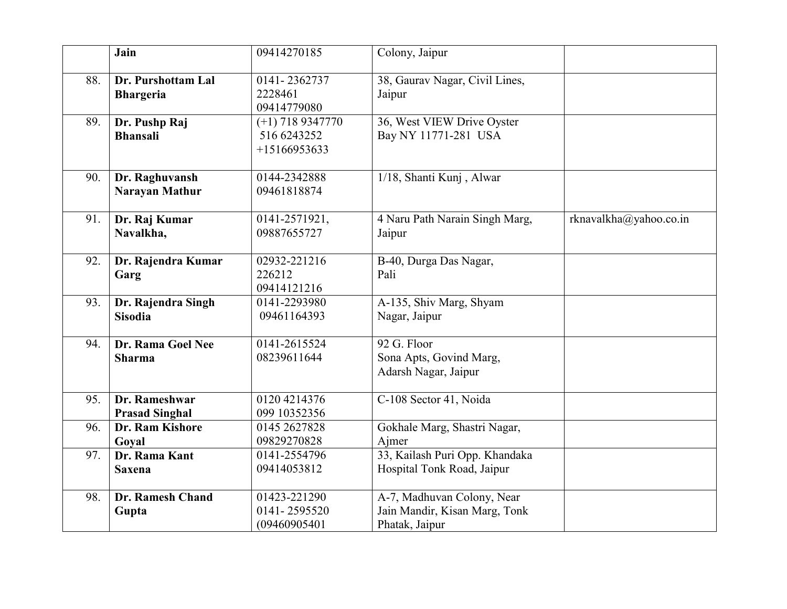|     | Jain                                    | 09414270185                                         | Colony, Jaipur                                                                |                        |
|-----|-----------------------------------------|-----------------------------------------------------|-------------------------------------------------------------------------------|------------------------|
| 88. | Dr. Purshottam Lal<br><b>Bhargeria</b>  | 0141-2362737<br>2228461<br>09414779080              | 38, Gaurav Nagar, Civil Lines,<br>Jaipur                                      |                        |
| 89. | Dr. Pushp Raj<br><b>Bhansali</b>        | $(+1)$ 718 9347770<br>516 6243252<br>$+15166953633$ | 36, West VIEW Drive Oyster<br>Bay NY 11771-281 USA                            |                        |
| 90. | Dr. Raghuvansh<br><b>Narayan Mathur</b> | 0144-2342888<br>09461818874                         | 1/18, Shanti Kunj, Alwar                                                      |                        |
| 91. | Dr. Raj Kumar<br>Navalkha,              | 0141-2571921,<br>09887655727                        | 4 Naru Path Narain Singh Marg,<br>Jaipur                                      | rknavalkha@yahoo.co.in |
| 92. | Dr. Rajendra Kumar<br>Garg              | 02932-221216<br>226212<br>09414121216               | B-40, Durga Das Nagar,<br>Pali                                                |                        |
| 93. | Dr. Rajendra Singh<br><b>Sisodia</b>    | 0141-2293980<br>09461164393                         | A-135, Shiv Marg, Shyam<br>Nagar, Jaipur                                      |                        |
| 94. | Dr. Rama Goel Nee<br><b>Sharma</b>      | 0141-2615524<br>08239611644                         | 92 G. Floor<br>Sona Apts, Govind Marg,<br>Adarsh Nagar, Jaipur                |                        |
| 95. | Dr. Rameshwar<br><b>Prasad Singhal</b>  | 0120 4214376<br>099 10352356                        | C-108 Sector 41, Noida                                                        |                        |
| 96. | Dr. Ram Kishore<br>Goyal                | 0145 2627828<br>09829270828                         | Gokhale Marg, Shastri Nagar,<br>Ajmer                                         |                        |
| 97. | Dr. Rama Kant<br><b>Saxena</b>          | 0141-2554796<br>09414053812                         | 33, Kailash Puri Opp. Khandaka<br>Hospital Tonk Road, Jaipur                  |                        |
| 98. | Dr. Ramesh Chand<br>Gupta               | 01423-221290<br>0141-2595520<br>(09460905401        | A-7, Madhuvan Colony, Near<br>Jain Mandir, Kisan Marg, Tonk<br>Phatak, Jaipur |                        |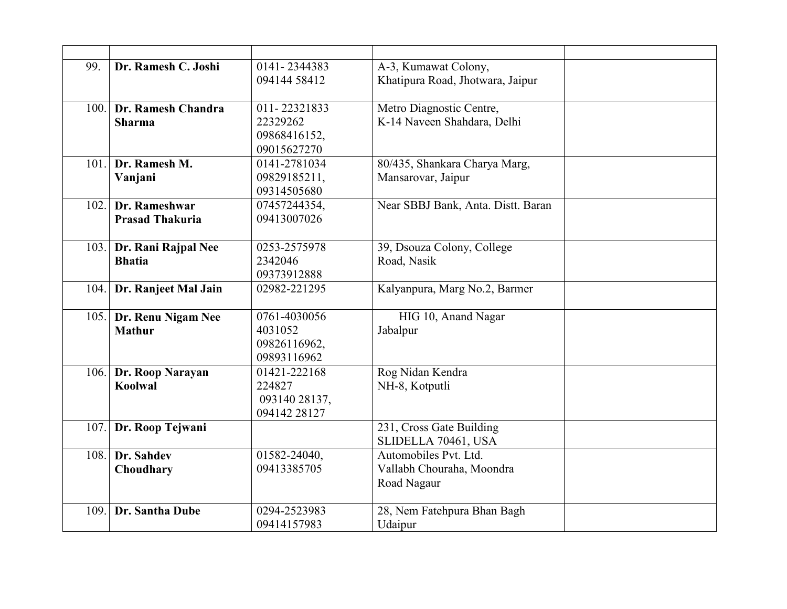| 99.  | Dr. Ramesh C. Joshi    | 0141-2344383                | A-3, Kumawat Colony,                     |  |
|------|------------------------|-----------------------------|------------------------------------------|--|
|      |                        | 094144 58412                | Khatipura Road, Jhotwara, Jaipur         |  |
| 100. | Dr. Ramesh Chandra     | 011-22321833                | Metro Diagnostic Centre,                 |  |
|      | <b>Sharma</b>          | 22329262                    | K-14 Naveen Shahdara, Delhi              |  |
|      |                        | 09868416152,                |                                          |  |
|      |                        | 09015627270                 |                                          |  |
| 101. | Dr. Ramesh M.          | 0141-2781034                | 80/435, Shankara Charya Marg,            |  |
|      | Vanjani                | 09829185211,                | Mansarovar, Jaipur                       |  |
|      |                        | 09314505680                 |                                          |  |
| 102. | Dr. Rameshwar          | 07457244354,                | Near SBBJ Bank, Anta. Distt. Baran       |  |
|      | <b>Prasad Thakuria</b> | 09413007026                 |                                          |  |
| 103. | Dr. Rani Rajpal Nee    | 0253-2575978                | 39, Dsouza Colony, College               |  |
|      | <b>Bhatia</b>          | 2342046                     | Road, Nasik                              |  |
|      |                        | 09373912888                 |                                          |  |
| 104. | Dr. Ranjeet Mal Jain   | 02982-221295                | Kalyanpura, Marg No.2, Barmer            |  |
| 105. | Dr. Renu Nigam Nee     | 0761-4030056                | HIG 10, Anand Nagar                      |  |
|      | <b>Mathur</b>          | 4031052                     | Jabalpur                                 |  |
|      |                        | 09826116962,                |                                          |  |
|      |                        | 09893116962                 |                                          |  |
|      | 106. Dr. Roop Narayan  | 01421-222168                | Rog Nidan Kendra                         |  |
|      | Koolwal                | 224827                      | NH-8, Kotputli                           |  |
|      |                        | 093140 28137,               |                                          |  |
|      |                        | 094142 28127                |                                          |  |
| 107. | Dr. Roop Tejwani       |                             | 231, Cross Gate Building                 |  |
|      |                        |                             | SLIDELLA 70461, USA                      |  |
| 108. | Dr. Sahdev             | 01582-24040,<br>09413385705 | Automobiles Pvt. Ltd.                    |  |
|      | Choudhary              |                             | Vallabh Chouraha, Moondra<br>Road Nagaur |  |
|      |                        |                             |                                          |  |
| 109. | Dr. Santha Dube        | 0294-2523983                | 28, Nem Fatehpura Bhan Bagh              |  |
|      |                        | 09414157983                 | Udaipur                                  |  |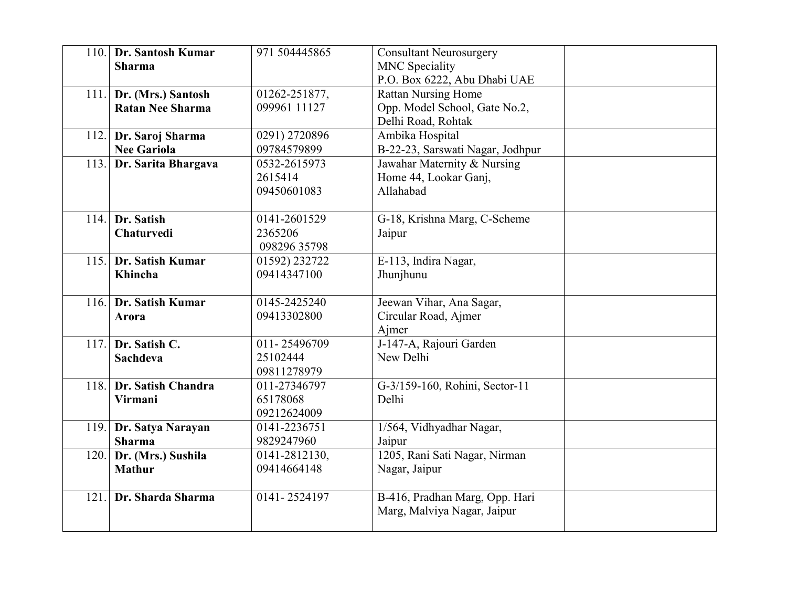| 110. | Dr. Santosh Kumar<br><b>Sharma</b>            | 971 504445865                           | <b>Consultant Neurosurgery</b><br><b>MNC</b> Speciality<br>P.O. Box 6222, Abu Dhabi UAE |  |
|------|-----------------------------------------------|-----------------------------------------|-----------------------------------------------------------------------------------------|--|
| 111. | Dr. (Mrs.) Santosh<br><b>Ratan Nee Sharma</b> | 01262-251877,<br>099961 11127           | <b>Rattan Nursing Home</b><br>Opp. Model School, Gate No.2,<br>Delhi Road, Rohtak       |  |
| 112. | Dr. Saroj Sharma<br><b>Nee Gariola</b>        | 0291) 2720896<br>09784579899            | Ambika Hospital<br>B-22-23, Sarswati Nagar, Jodhpur                                     |  |
| 113. | Dr. Sarita Bhargava                           | 0532-2615973<br>2615414<br>09450601083  | Jawahar Maternity & Nursing<br>Home 44, Lookar Ganj,<br>Allahabad                       |  |
| 114. | Dr. Satish<br>Chaturvedi                      | 0141-2601529<br>2365206<br>098296 35798 | G-18, Krishna Marg, C-Scheme<br>Jaipur                                                  |  |
| 115. | Dr. Satish Kumar<br>Khincha                   | 01592) 232722<br>09414347100            | E-113, Indira Nagar,<br>Jhunjhunu                                                       |  |
| 116. | Dr. Satish Kumar<br>Arora                     | 0145-2425240<br>09413302800             | Jeewan Vihar, Ana Sagar,<br>Circular Road, Ajmer<br>Ajmer                               |  |
| 117. | Dr. Satish C.<br>Sachdeva                     | 011-25496709<br>25102444<br>09811278979 | J-147-A, Rajouri Garden<br>New Delhi                                                    |  |
| 118. | Dr. Satish Chandra<br>Virmani                 | 011-27346797<br>65178068<br>09212624009 | G-3/159-160, Rohini, Sector-11<br>Delhi                                                 |  |
| 119. | Dr. Satya Narayan<br><b>Sharma</b>            | 0141-2236751<br>9829247960              | 1/564, Vidhyadhar Nagar,<br>Jaipur                                                      |  |
| 120. | Dr. (Mrs.) Sushila<br><b>Mathur</b>           | 0141-2812130,<br>09414664148            | 1205, Rani Sati Nagar, Nirman<br>Nagar, Jaipur                                          |  |
| 121. | Dr. Sharda Sharma                             | 0141-2524197                            | B-416, Pradhan Marg, Opp. Hari<br>Marg, Malviya Nagar, Jaipur                           |  |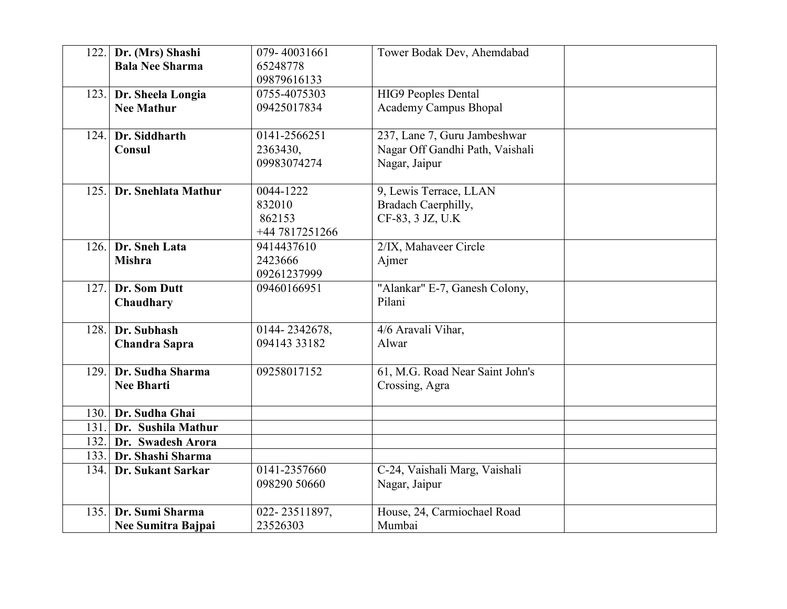| 122.  | Dr. (Mrs) Shashi       | 079-40031661   | Tower Bodak Dev, Ahemdabad      |  |
|-------|------------------------|----------------|---------------------------------|--|
|       | <b>Bala Nee Sharma</b> | 65248778       |                                 |  |
|       |                        | 09879616133    |                                 |  |
| 123.  | Dr. Sheela Longia      | 0755-4075303   | <b>HIG9 Peoples Dental</b>      |  |
|       | <b>Nee Mathur</b>      | 09425017834    | <b>Academy Campus Bhopal</b>    |  |
|       |                        |                |                                 |  |
| 124.  | Dr. Siddharth          | 0141-2566251   | 237, Lane 7, Guru Jambeshwar    |  |
|       | Consul                 | 2363430,       | Nagar Off Gandhi Path, Vaishali |  |
|       |                        | 09983074274    | Nagar, Jaipur                   |  |
| 125.  | Dr. Snehlata Mathur    | 0044-1222      | 9, Lewis Terrace, LLAN          |  |
|       |                        | 832010         | Bradach Caerphilly,             |  |
|       |                        | 862153         | CF-83, 3 JZ, U.K                |  |
|       |                        | +44 7817251266 |                                 |  |
| 126.  | Dr. Sneh Lata          | 9414437610     | 2/IX, Mahaveer Circle           |  |
|       | <b>Mishra</b>          | 2423666        | Ajmer                           |  |
|       |                        | 09261237999    |                                 |  |
| 127.1 | Dr. Som Dutt           | 09460166951    | "Alankar" E-7, Ganesh Colony,   |  |
|       | Chaudhary              |                | Pilani                          |  |
|       |                        |                |                                 |  |
| 128.  | Dr. Subhash            | 0144-2342678,  | 4/6 Aravali Vihar,              |  |
|       | <b>Chandra Sapra</b>   | 094143 33182   | Alwar                           |  |
|       |                        |                |                                 |  |
| 129.  | Dr. Sudha Sharma       | 09258017152    | 61, M.G. Road Near Saint John's |  |
|       | <b>Nee Bharti</b>      |                | Crossing, Agra                  |  |
| 130.  | Dr. Sudha Ghai         |                |                                 |  |
| 131.  | Dr. Sushila Mathur     |                |                                 |  |
| 132.  | Dr. Swadesh Arora      |                |                                 |  |
| 133.1 | Dr. Shashi Sharma      |                |                                 |  |
| 134.  | Dr. Sukant Sarkar      | 0141-2357660   | C-24, Vaishali Marg, Vaishali   |  |
|       |                        | 098290 50660   | Nagar, Jaipur                   |  |
|       |                        |                |                                 |  |
| 135.  | Dr. Sumi Sharma        | 022-23511897,  | House, 24, Carmiochael Road     |  |
|       | Nee Sumitra Bajpai     | 23526303       | Mumbai                          |  |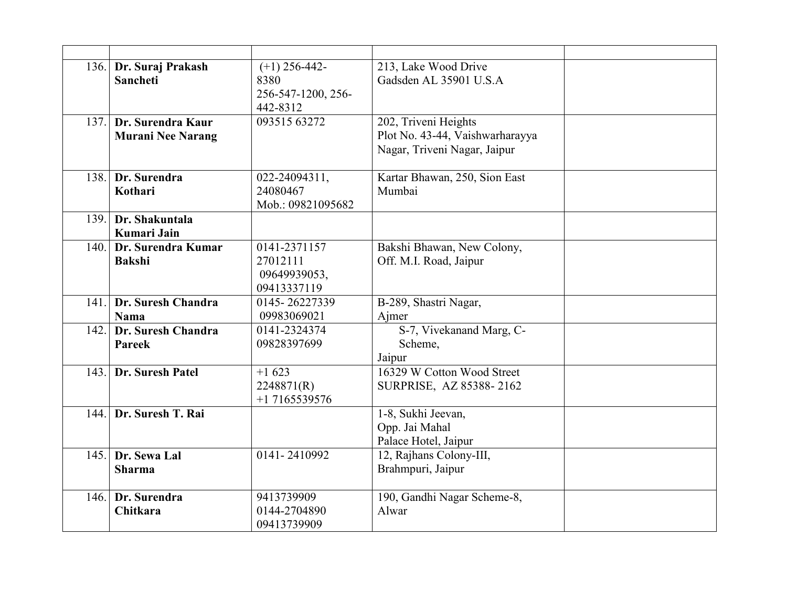|      | 136. Dr. Suraj Prakash<br><b>Sancheti</b>     | $(+1)$ 256-442-<br>8380<br>256-547-1200, 256-<br>442-8312 | 213, Lake Wood Drive<br>Gadsden AL 35901 U.S.A                                          |  |
|------|-----------------------------------------------|-----------------------------------------------------------|-----------------------------------------------------------------------------------------|--|
| 137. | Dr. Surendra Kaur<br><b>Murani Nee Narang</b> | 093515 63272                                              | 202, Triveni Heights<br>Plot No. 43-44, Vaishwarharayya<br>Nagar, Triveni Nagar, Jaipur |  |
| 138. | Dr. Surendra<br>Kothari                       | 022-24094311,<br>24080467<br>Mob.: 09821095682            | Kartar Bhawan, 250, Sion East<br>Mumbai                                                 |  |
| 139. | Dr. Shakuntala<br>Kumari Jain                 |                                                           |                                                                                         |  |
| 140. | Dr. Surendra Kumar<br><b>Bakshi</b>           | 0141-2371157<br>27012111<br>09649939053,<br>09413337119   | Bakshi Bhawan, New Colony,<br>Off. M.I. Road, Jaipur                                    |  |
| 141. | Dr. Suresh Chandra<br>Nama                    | 0145-26227339<br>09983069021                              | B-289, Shastri Nagar,<br>Ajmer                                                          |  |
| 142. | Dr. Suresh Chandra<br>Pareek                  | 0141-2324374<br>09828397699                               | S-7, Vivekanand Marg, C-<br>Scheme,<br>Jaipur                                           |  |
| 143. | Dr. Suresh Patel                              | $+1623$<br>2248871(R)<br>$+17165539576$                   | 16329 W Cotton Wood Street<br>SURPRISE, AZ 85388-2162                                   |  |
| 144. | Dr. Suresh T. Rai                             |                                                           | 1-8, Sukhi Jeevan,<br>Opp. Jai Mahal<br>Palace Hotel, Jaipur                            |  |
| 145. | Dr. Sewa Lal<br><b>Sharma</b>                 | 0141-2410992                                              | 12, Rajhans Colony-III,<br>Brahmpuri, Jaipur                                            |  |
| 146. | Dr. Surendra<br>Chitkara                      | 9413739909<br>0144-2704890<br>09413739909                 | 190, Gandhi Nagar Scheme-8,<br>Alwar                                                    |  |